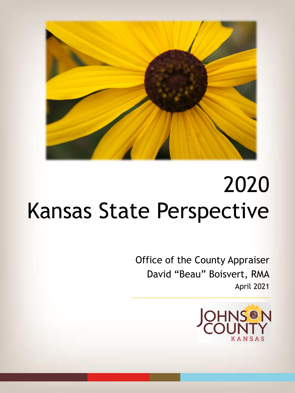

Office of the County Appraiser David "Beau" Boisvert, RMA April 2021

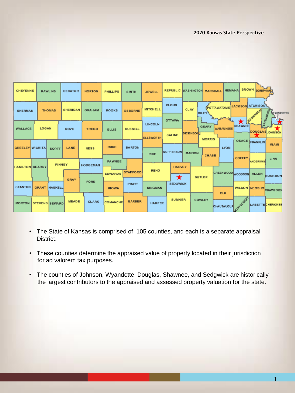| <b>CHEYENNE</b>        |                       | <b>RAWLINS</b>       | <b>DECATUR</b>  | <b>NORTON</b> | <b>PHILLIPS</b>                 | <b>SMITH</b>    | <b>JEWELL</b>                      |                                | <b>REPUBLIC WASHINGTON MARSHALL</b>     | <b>NEMAHA</b>     | BROWN DONIPHAND                                                                |
|------------------------|-----------------------|----------------------|-----------------|---------------|---------------------------------|-----------------|------------------------------------|--------------------------------|-----------------------------------------|-------------------|--------------------------------------------------------------------------------|
| <b>SHERMAN</b>         |                       | <b>THOMAS</b>        | <b>SHERIDAN</b> | <b>GRAHAM</b> | <b>ROOKS</b>                    | <b>OSBORNE</b>  | <b>MITCHELL</b>                    | <b>CLOUD</b>                   | <b>CLAY</b><br><b>RILEY</b>             |                   | POTTAWATOMIE JACKSON ATCHISON<br><b>JEFFERSON</b><br>EAVENINORTH<br>WYANDOTTE  |
| <b>WALLACE</b>         | LOGAN                 |                      | GOVE            | <b>TREGO</b>  | <b>ELLIS</b>                    | <b>RUSSELL</b>  | <b>LINCOLN</b><br><b>ELLSWORTH</b> | <b>OTTAWA</b><br><b>SALINE</b> | <b>GEARY</b><br>DICKINSONT              | <b>WAB AUNSEE</b> | $\bigstar$<br>Х<br>SHAWNEE<br>DOUGLAS JOHNSON                                  |
| <b>GREELEY WICHITA</b> |                       | SCOTT                | LANE            | <b>NESS</b>   | <b>RUSH</b>                     | <b>BARTON</b>   | <b>RICE</b>                        | <b>MCPHERSON</b>               | <b>MORRIS</b><br><b>MARION</b><br>CHASE | <b>LYON</b>       | <b>OSAGE FRANKLIN</b><br><b>MLAMI</b>                                          |
| <b>HAMILTON KEARNY</b> |                       | <b>FINNEY</b>        | <b>HODGEMAN</b> |               | <b>PAWNEE</b><br><b>EDWARDS</b> | <b>STAFFORD</b> | <b>RENO</b>                        | <b>HARVEY</b>                  |                                         |                   | <b>COFFEY</b><br>LINN<br>ANDERSON<br>GREENWOOD WOODSON ALLEN<br><b>BOURBON</b> |
| <b>STANTON</b>         |                       | <b>GRANT HASKELL</b> | <b>GRAY</b>     | <b>FORD</b>   | <b>KIOWA</b>                    | <b>PRATT</b>    | <b>KINGMAN</b>                     | $\bigstar$<br><b>SEDGWICK</b>  | <b>BUTLER</b>                           | <b>ELK</b>        | WILSON NEOSHO CRAWFORD                                                         |
| <b>MORTON</b>          | <b>STEVENS SEWARD</b> |                      | <b>MEADE</b>    | <b>CLARK</b>  | <b>COMANCHE</b>                 | <b>BARBER</b>   | <b>HARPER</b>                      | <b>SUMNER</b>                  | COWLEY                                  | CHAUTAUQUA        | MONTGOMERY<br><b>LABETTECHEROKEE</b>                                           |

- The State of Kansas is comprised of 105 counties, and each is a separate appraisal District.
- These counties determine the appraised value of property located in their jurisdiction for ad valorem tax purposes.
- The counties of Johnson, Wyandotte, Douglas, Shawnee, and Sedgwick are historically the largest contributors to the appraised and assessed property valuation for the state.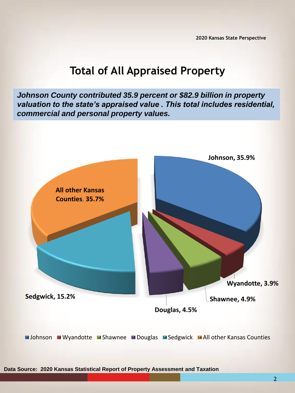# **Total of All Appraised Property**

*Johnson County contributed 35.9 percent or \$82.9 billion in property valuation to the state's appraised value . This total includes residential, commercial and personal property values.*

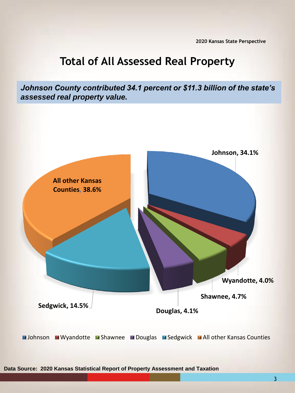# **Total of All Assessed Real Property**

*Johnson County contributed 34.1 percent or \$11.3 billion of the state's assessed real property value.* 



**Data Source: 2020 Kansas Statistical Report of Property Assessment and Taxation**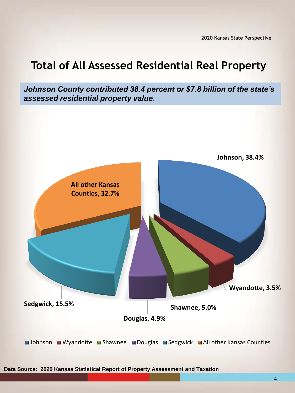#### **Total of All Assessed Residential Real Property**

*Johnson County contributed 38.4 percent or \$7.8 billion of the state's assessed residential property value.* 



**Data Source: 2020 Kansas Statistical Report of Property Assessment and Taxation**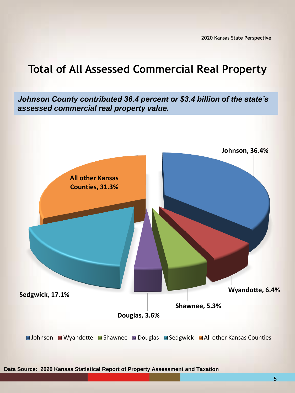# **Total of All Assessed Commercial Real Property**

*Johnson County contributed 36.4 percent or \$3.4 billion of the state's assessed commercial real property value.* 



**Data Source: 2020 Kansas Statistical Report of Property Assessment and Taxation** 

5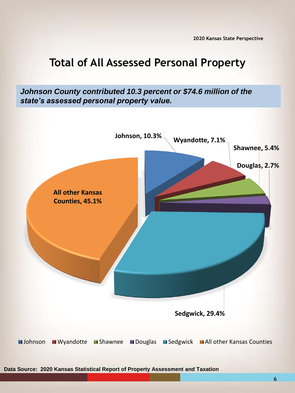# **Total of All Assessed Personal Property**

*Johnson County contributed 10.3 percent or \$74.6 million of the state's assessed personal property value.*